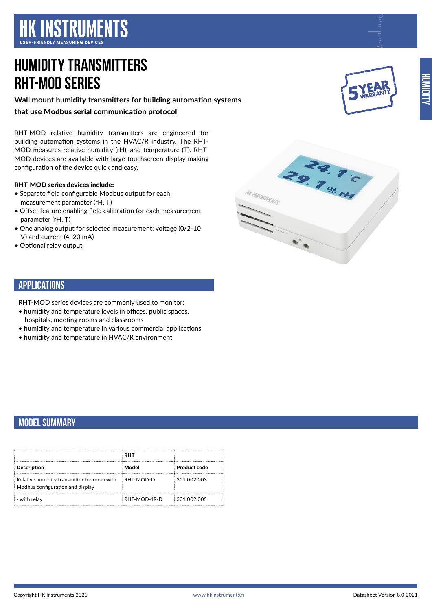**HK INSTRUMENTS** 

# **HUMIDITY TRANSMITTERS RHT-MOD Series**

**Wall mount humidity transmitters for building automation systems that use Modbus serial communication protocol**

RHT-MOD relative humidity transmitters are engineered for building automation systems in the HVAC/R industry. The RHT-MOD measures relative humidity (rH), and temperature (T). RHT-MOD devices are available with large touchscreen display making configuration of the device quick and easy.

#### RHT-MOD series devices include:

- Separate field configurable Modbus output for each measurement parameter (rH, T)
- Offset feature enabling field calibration for each measurement parameter (rH, T)
- One analog output for selected measurement: voltage (0/2–10 V) and current (4–20 mA)
- Optional relay output



### **APPLICATIONS**

RHT-MOD series devices are commonly used to monitor:

- humidity and temperature levels in offices, public spaces, hospitals, meeting rooms and classrooms
- humidity and temperature in various commercial applications
- humidity and temperature in HVAC/R environment

## **MODEL SUMMARY**

|                                                                                 | <b>RHT</b>   |                     |
|---------------------------------------------------------------------------------|--------------|---------------------|
| <b>Description</b>                                                              | Model        | <b>Product code</b> |
| Relative humidity transmitter for room with<br>Modbus configuration and display | RHT-MOD-D    | 301.002.003         |
| - with relay                                                                    | RHT-MOD-1R-D | 301.002.005         |